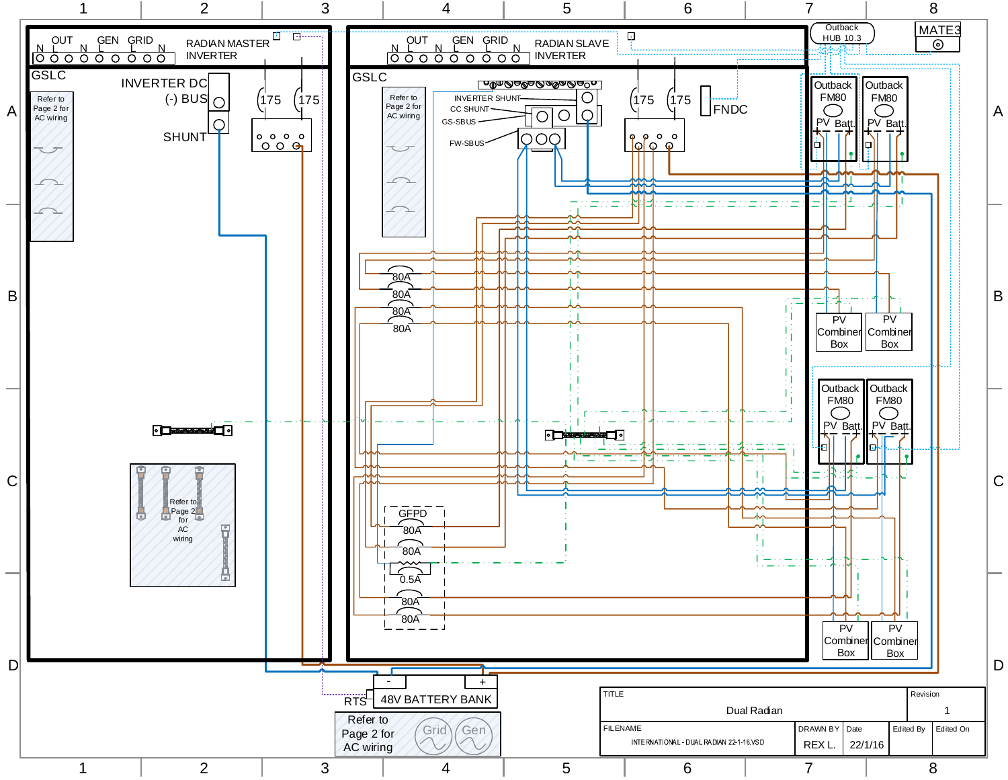